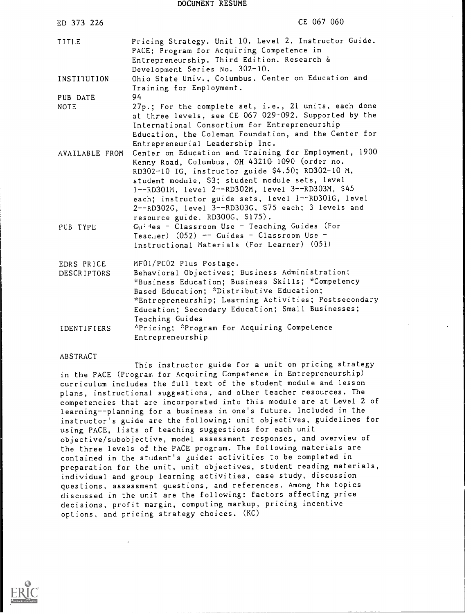DOCUMENT RESUME

| ED 373 226                       | CE 067 060                                                                                                                                                                                                                                                                                                                                                                                                                                                                                                                |
|----------------------------------|---------------------------------------------------------------------------------------------------------------------------------------------------------------------------------------------------------------------------------------------------------------------------------------------------------------------------------------------------------------------------------------------------------------------------------------------------------------------------------------------------------------------------|
| TITLE                            | Pricing Strategy. Unit 10. Level 2. Instructor Guide.<br>PACE: Program for Acquiring Competence in<br>Entrepreneurship. Third Edition. Research &<br>Development Series No. 302-10.                                                                                                                                                                                                                                                                                                                                       |
| INSTITUTION                      | Ohio State Univ., Columbus. Center on Education and<br>Training for Employment.                                                                                                                                                                                                                                                                                                                                                                                                                                           |
| PUB DATE<br><b>NOTE</b>          | 94<br>27p.; For the complete set, i.e., 21 units, each done<br>at three levels, see CE 067 029-092. Supported by the<br>International Consortium for Entrepreneurship<br>Education, the Coleman Foundation, and the Center for<br>Entrepreneurial Leadership Inc.                                                                                                                                                                                                                                                         |
| AVAILABLE FROM<br>PUB TYPE       | Center on Education and Training for Employment, 1900<br>Kenny Road, Columbus, OH 43210-1090 (order no.<br>RD302-10 IG, instructor guide \$4.50; RD302-10 M,<br>student module, \$3; student module sets, level<br>1--RD301M, 1evel 2--RD302M, 1evel 3--RD303M, \$45<br>each; instructor guide sets, level 1--RD301G, level<br>2--RD302G, level 3--RD303G, \$75 each; 3 levels and<br>resource guide, RD300G, \$175).<br>$Gu: 4 es - Classroom Use - Teaching Guide (For$<br>Teacher) $(052)$ -- Guides - Classroom Use - |
|                                  | Instructional Materials (For Learner) (051)                                                                                                                                                                                                                                                                                                                                                                                                                                                                               |
| EDRS PRICE<br><b>DESCRIPTORS</b> | MF01/PC02 Plus Postage.<br>Behavioral Objectives; Business Administration;<br>*Business Education; Business Skills; *Competency<br>Based Education; *Distributive Education;<br>*Entrepreneurship; Learning Activities; Postsecondary<br>Education; Secondary Education; Small Businesses;                                                                                                                                                                                                                                |
| IDENTIFIERS                      | Teaching Guides<br>*Pricing; *Program for Acquiring Competence<br>Entrepreneurship                                                                                                                                                                                                                                                                                                                                                                                                                                        |

#### ABSTRACT

This instructor guide for a unit on pricing strategy in the PACE (Program for Acquiring Competence in Entrepreneurship) curriculum includes the full text of the student module and lesson plans, instructional suggestions, and other teacher resources. The competencies that are incorporated into this module are at Level 2 of learning--planning for a business in one's future. Included in the instructor's guide are the following: unit objectives, guidelines for using PACE, lists of teaching suggestions for each unit objective/subobjective, model assessment responses, and overview of the three levels of the PACE program. The following materials are contained in the student's guide: activities to be completed in preparation for the unit, unit objectives, student reading materials, individual and group learning activities, case study, discussion questions, assessment questions, and references. Among the topics discussed in the unit are the following: factors affecting price decisions, profit margin, computing markup, pricing incentive options, and pricing strategy choices. (KC)

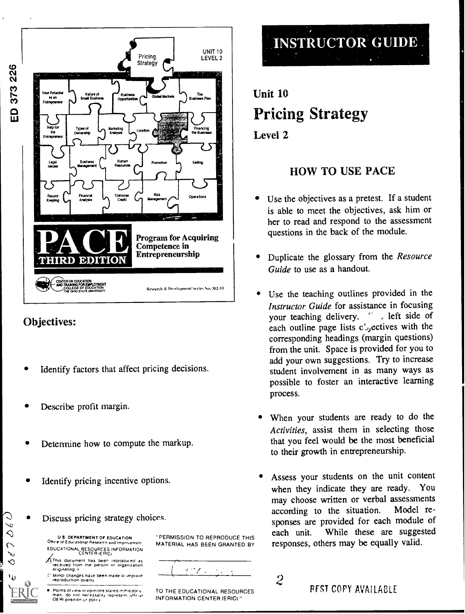



 $\overline{v}$  $\Diamond$  $\sim$ 

↶

- Identify factors that affect pricing decisions.
- Describe profit margin.
- Determine how to compute the markup.
- Identify pricing incentive options.
- Discuss pricing strategy choices.

U S DEPARTMENT OF EDUCATION Office of Educational Research and improvement EDUCATIONAL RESOURCES INFORMATION CENTER (ERIC

 $\overline{A}$ This document has been reproduced as  $\overline{A}$ received from the person or organization.<br>Originating it

Minor changes have been made in .mgrove teoroduchon Qual.tv

Points of view or opinions stated in this docu-<br>men. do not inecessarily represent official men, do not necessa.<br>OERI position ur policy

"PERMISSION TO REPRODUCE THIS each unit. MATERIAL HAS BEEN GRANTED BY

 $\ell$  (  $\ell$  )  $\sim 10^7$ ——

TO THE EDUCATIONAL RESOURCES INFORMATION CENTER (ERIC)

## **INSTRUCTOR GUIDE**

#### Unit 10 Pricing Strategy Level 2

#### HOW TO USE PACE

- Use the objectives as a pretest. If a student is able to meet the objectives, ask him or her to read and respond to the assessment questions in the back of the module.
- Duplicate the glossary from the Resource Guide to use as a handout.
- Use the teaching outlines provided in the Instructor Guide for assistance in focusing your teaching delivery.  $\therefore$  left side of each outline page lists  $c^{\prime}$ , ectives with the corresponding headings (margin questions) from the unit. Space is provided for you to add your own suggestions. Try to increase student involvement in as many ways as possible to foster an interactive learning process.
- When your students are ready to do the Activities, assist them in selecting those that you feel would be the most beneficial to their growth in entrepreneurship.
- Assess your students on the unit content when they indicate they are ready. You may choose written or verbal assessments according to the situation. Model responses are provided for each module of While these are suggested responses, others may be equally valid.

2 **REST COPY AVAILABLE**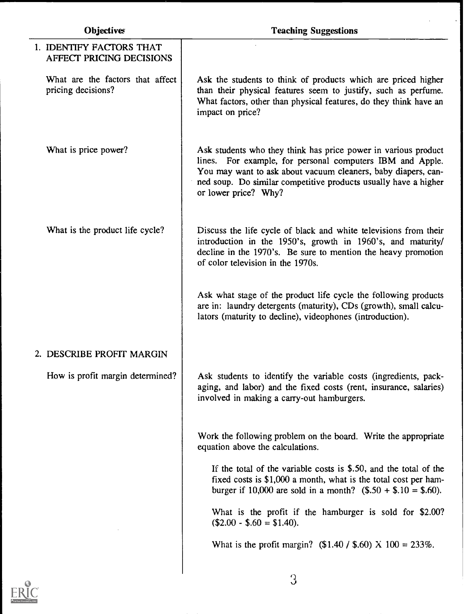| Objectives                                             | <b>Teaching Suggestions</b>                                                                                                                                                                                                                                                             |
|--------------------------------------------------------|-----------------------------------------------------------------------------------------------------------------------------------------------------------------------------------------------------------------------------------------------------------------------------------------|
| 1. IDENTIFY FACTORS THAT<br>AFFECT PRICING DECISIONS   |                                                                                                                                                                                                                                                                                         |
| What are the factors that affect<br>pricing decisions? | Ask the students to think of products which are priced higher<br>than their physical features seem to justify, such as perfume.<br>What factors, other than physical features, do they think have an<br>impact on price?                                                                |
| What is price power?                                   | Ask students who they think has price power in various product<br>lines. For example, for personal computers IBM and Apple.<br>You may want to ask about vacuum cleaners, baby diapers, can-<br>ned soup. Do similar competitive products usually have a higher<br>or lower price? Why? |
| What is the product life cycle?                        | Discuss the life cycle of black and white televisions from their<br>introduction in the 1950's, growth in 1960's, and maturity/<br>decline in the 1970's. Be sure to mention the heavy promotion<br>of color television in the 1970s.                                                   |
|                                                        | Ask what stage of the product life cycle the following products<br>are in: laundry detergents (maturity), CDs (growth), small calcu-<br>lators (maturity to decline), videophones (introduction).                                                                                       |
| 2. DESCRIBE PROFIT MARGIN                              |                                                                                                                                                                                                                                                                                         |
| How is profit margin determined?                       | Ask students to identify the variable costs (ingredients, pack-<br>aging, and labor) and the fixed costs (rent, insurance, salaries)<br>involved in making a carry-out hamburgers.                                                                                                      |
|                                                        | Work the following problem on the board. Write the appropriate<br>equation above the calculations.                                                                                                                                                                                      |
|                                                        | If the total of the variable costs is $$.50$ , and the total of the<br>fixed costs is \$1,000 a month, what is the total cost per ham-<br>burger if 10,000 are sold in a month? $($.50 + $.10 = $.60)$ .                                                                                |
|                                                        | What is the profit if the hamburger is sold for \$2.00?<br>$$2.00 - $.60 = $1.40$ .                                                                                                                                                                                                     |
|                                                        | What is the profit margin? $(\$1.40 / \$.60)$ X $100 = 233\%$ .                                                                                                                                                                                                                         |
|                                                        |                                                                                                                                                                                                                                                                                         |

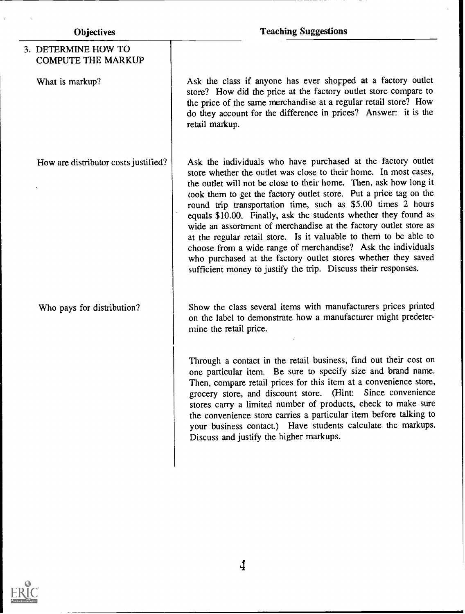| <b>Objectives</b>                                | <b>Teaching Suggestions</b>                                                                                                                                                                                                                                                                                                                                                                                                                                                                                                                                                                                                                                                                                                                               |
|--------------------------------------------------|-----------------------------------------------------------------------------------------------------------------------------------------------------------------------------------------------------------------------------------------------------------------------------------------------------------------------------------------------------------------------------------------------------------------------------------------------------------------------------------------------------------------------------------------------------------------------------------------------------------------------------------------------------------------------------------------------------------------------------------------------------------|
| 3. DETERMINE HOW TO<br><b>COMPUTE THE MARKUP</b> |                                                                                                                                                                                                                                                                                                                                                                                                                                                                                                                                                                                                                                                                                                                                                           |
| What is markup?                                  | Ask the class if anyone has ever shopped at a factory outlet<br>store? How did the price at the factory outlet store compare to<br>the price of the same merchandise at a regular retail store? How<br>do they account for the difference in prices? Answer: it is the<br>retail markup.                                                                                                                                                                                                                                                                                                                                                                                                                                                                  |
| How are distributor costs justified?             | Ask the individuals who have purchased at the factory outlet<br>store whether the outlet was close to their home. In most cases,<br>the outlet will not be close to their home. Then, ask how long it<br>look them to get the factory outlet store. Put a price tag on the<br>round trip transportation time, such as \$5.00 times 2 hours<br>equals \$10.00. Finally, ask the students whether they found as<br>wide an assortment of merchandise at the factory outlet store as<br>at the regular retail store. Is it valuable to them to be able to<br>choose from a wide range of merchandise? Ask the individuals<br>who purchased at the factory outlet stores whether they saved<br>sufficient money to justify the trip. Discuss their responses. |
| Who pays for distribution?                       | Show the class several items with manufacturers prices printed<br>on the label to demonstrate how a manufacturer might predeter-<br>mine the retail price.                                                                                                                                                                                                                                                                                                                                                                                                                                                                                                                                                                                                |
|                                                  | Through a contact in the retail business, find out their cost on<br>one particular item. Be sure to specify size and brand name.<br>Then, compare retail prices for this item at a convenience store,<br>grocery store, and discount store. (Hint: Since convenience<br>stores carry a limited number of products, check to make sure<br>the convenience store carries a particular item before talking to<br>your business contact.) Have students calculate the markups.<br>Discuss and justify the higher markups.                                                                                                                                                                                                                                     |

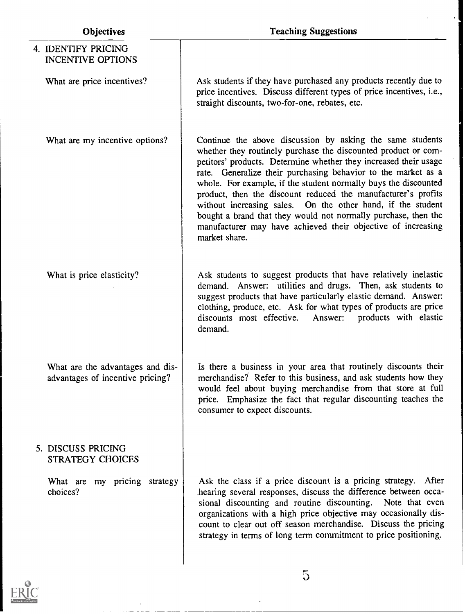| 4. IDENTIFY PRICING<br>INCENTIVE OPTIONS                             |                                                                                                                                                                                                                                                                                                                                                                                                                                                                                                                                                                                                                        |
|----------------------------------------------------------------------|------------------------------------------------------------------------------------------------------------------------------------------------------------------------------------------------------------------------------------------------------------------------------------------------------------------------------------------------------------------------------------------------------------------------------------------------------------------------------------------------------------------------------------------------------------------------------------------------------------------------|
| What are price incentives?                                           | Ask students if they have purchased any products recently due to<br>price incentives. Discuss different types of price incentives, i.e.,<br>straight discounts, two-for-one, rebates, etc.                                                                                                                                                                                                                                                                                                                                                                                                                             |
| What are my incentive options?                                       | Continue the above discussion by asking the same students<br>whether they routinely purchase the discounted product or com-<br>petitors' products. Determine whether they increased their usage<br>rate. Generalize their purchasing behavior to the market as a<br>whole. For example, if the student normally buys the discounted<br>product, then the discount reduced the manufacturer's profits<br>without increasing sales. On the other hand, if the student<br>bought a brand that they would not normally purchase, then the<br>manufacturer may have achieved their objective of increasing<br>market share. |
| What is price elasticity?                                            | Ask students to suggest products that have relatively inelastic<br>demand. Answer: utilities and drugs. Then, ask students to<br>suggest products that have particularly elastic demand. Answer:<br>clothing, produce, etc. Ask for what types of products are price<br>discounts most effective.<br>Answer:<br>products with elastic<br>demand.                                                                                                                                                                                                                                                                       |
| What are the advantages and dis-<br>advantages of incentive pricing? | Is there a business in your area that routinely discounts their<br>merchandise? Refer to this business, and ask students how they<br>would feel about buying merchandise from that store at full<br>price. Emphasize the fact that regular discounting teaches the<br>consumer to expect discounts.                                                                                                                                                                                                                                                                                                                    |
| 5. DISCUSS PRICING<br><b>STRATEGY CHOICES</b>                        |                                                                                                                                                                                                                                                                                                                                                                                                                                                                                                                                                                                                                        |
| What are my pricing strategy<br>choices?                             | Ask the class if a price discount is a pricing strategy. After<br>hearing several responses, discuss the difference between occa-<br>sional discounting and routine discounting. Note that even<br>organizations with a high price objective may occasionally dis-<br>count to clear out off season merchandise. Discuss the pricing<br>strategy in terms of long term commitment to price positioning.                                                                                                                                                                                                                |
|                                                                      |                                                                                                                                                                                                                                                                                                                                                                                                                                                                                                                                                                                                                        |

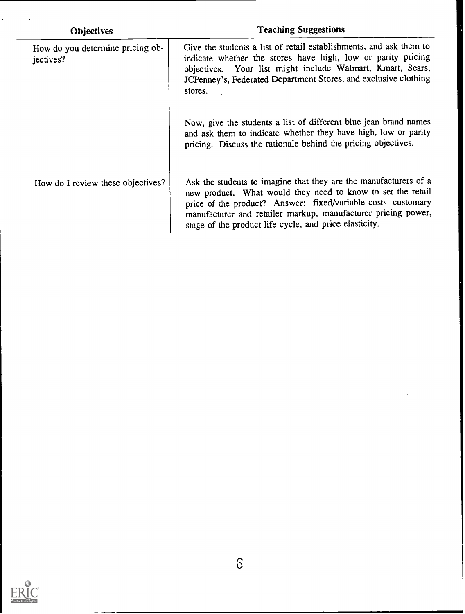| <b>Objectives</b>                             | <b>Teaching Suggestions</b>                                                                                                                                                                                                                                                                                                 |
|-----------------------------------------------|-----------------------------------------------------------------------------------------------------------------------------------------------------------------------------------------------------------------------------------------------------------------------------------------------------------------------------|
| How do you determine pricing ob-<br>jectives? | Give the students a list of retail establishments, and ask them to<br>indicate whether the stores have high, low or parity pricing<br>objectives. Your list might include Walmart, Kmart, Sears,<br>JCPenney's, Federated Department Stores, and exclusive clothing<br>stores.                                              |
|                                               | Now, give the students a list of different blue jean brand names<br>and ask them to indicate whether they have high, low or parity<br>pricing. Discuss the rationale behind the pricing objectives.                                                                                                                         |
| How do I review these objectives?             | Ask the students to imagine that they are the manufacturers of a<br>new product. What would they need to know to set the retail<br>price of the product? Answer: fixed/variable costs, customary<br>manufacturer and retailer markup, manufacturer pricing power,<br>stage of the product life cycle, and price elasticity. |

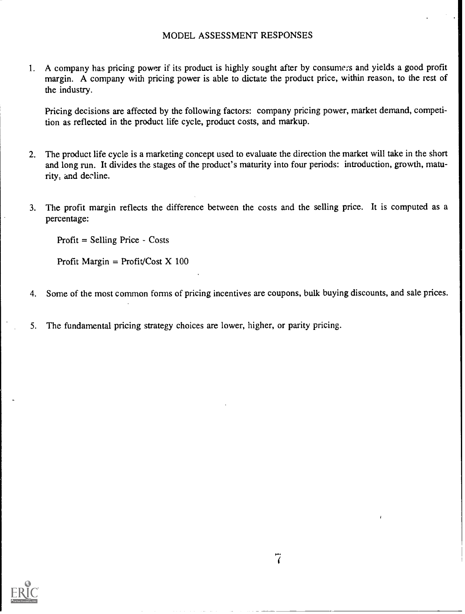1. A company has pricing power if its product is highly sought after by consumers and yields a good profit margin. A company with pricing power is able to dictate the product price, within reason, to the rest of the industry.

Pricing decisions are affected by the following factors: company pricing power, market demand, competition as reflected in the product life cycle, product costs, and markup.

- 2. The product life cycle is a marketing concept used to evaluate the direction the market will take in the short and long run. It divides the stages of the product's maturity into four periods: introduction, growth, maturity, and decline.
- 3. The profit margin reflects the difference between the costs and the selling price. It is computed as a percentage:

Profit  $=$  Selling Price  $-$  Costs

Profit Margin = Profit/Cost  $X$  100

- 4. Some of the most common forms of pricing incentives are coupons, bulk buying discounts, and sale prices.
- 5. The fundamental pricing strategy choices are lower, higher, or parity pricing.

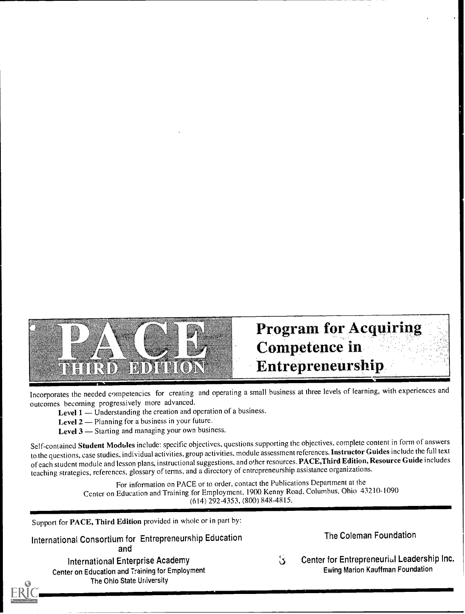

### **Program for Acquiring** Competence in Entrepreneurship

Incorporates the needed competencies for creating and operating a small business at three levels of learning, with experiences and outcomes becoming progressively more advanced.

Level 1 - Understanding the creation and operation of a business.

Level 2 - Planning for a business in your future.

Level  $3$  - Starting and managing your own business.

Self-contained Student Modules include: specific objectives, questions supporting the objectives, complete content in form of answers to the questions, case studies, individual activities, group activities, module assessment references. Instructor Guides include the full text of each student module and lesson plans, instructional suggestions, and other resources. PACE,Third Edition, Resource Guide includes teaching strategies, references, glossary of terms, and a directory of entrepreneurship assistance organizations.

For information on PACE or to order, contact the Publications Department at the Center on Education and Training for Employment, 19(X) Kenny Road, Columbus, Ohio 43210-1090 (614) 292-4353, (800) 848-4815.

Ś

Support for PACE, Third Edition provided in whole or in part by:

International Consortium for Entrepreneurship Education and

International Enterprise Academy Center on Education and Training for Employment The Ohio State University

The Coleman Foundation

Center for Entrepreneurial Leadership Inc. Ewing Marion Kauffman Foundation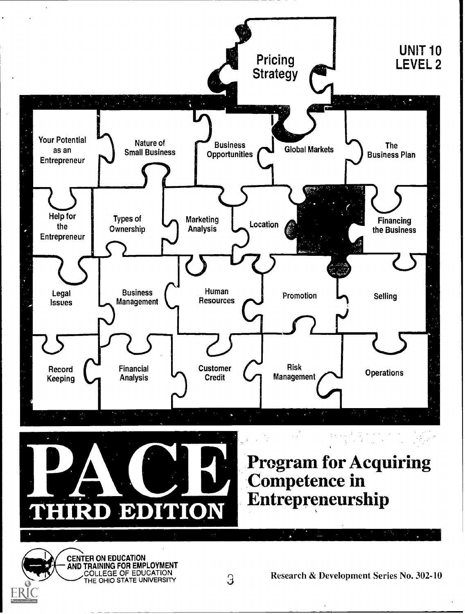



# **Program for Acquiring<br>Competence in<br>Entrepreneurship**

CENTER ON EDUCATION AND TRAINING FOR EMPLOYMENT COLLEGE OF EDUCATION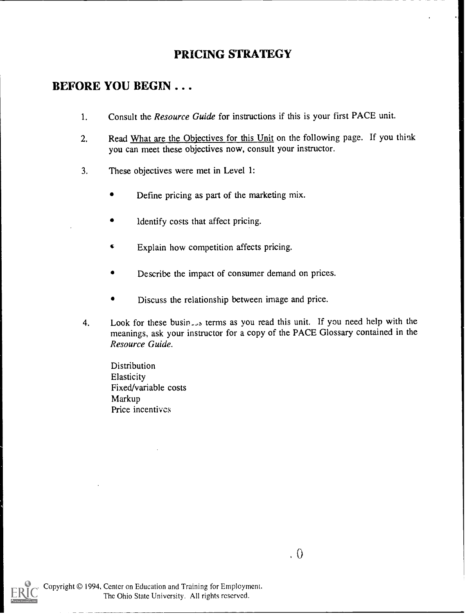#### PRICING STRATEGY

#### BEFORE YOU BEGIN . . .

- 1. Consult the Resource Guide for instructions if this is your first PACE unit.
- 2. Read What are the Objectives for this Unit on the following page. If you think you can meet these objectives now, consult your instructor.
- 3. These objectives were met in Level I:
	- Define pricing as part of the marketing mix.
	- Identify costs that affect pricing.
	- $\bullet$ Explain how competition affects pricing.
	- Describe the impact of consumer demand on prices.
	- Discuss the relationship between image and price.
- 4. Look for these busin<sub>cles</sub> terms as you read this unit. If you need help with the meanings, ask your instructor for a copy of the PACE Glossary contained in the Resource Guide.

**Distribution Elasticity** Fixed/variable costs Markup Price incentives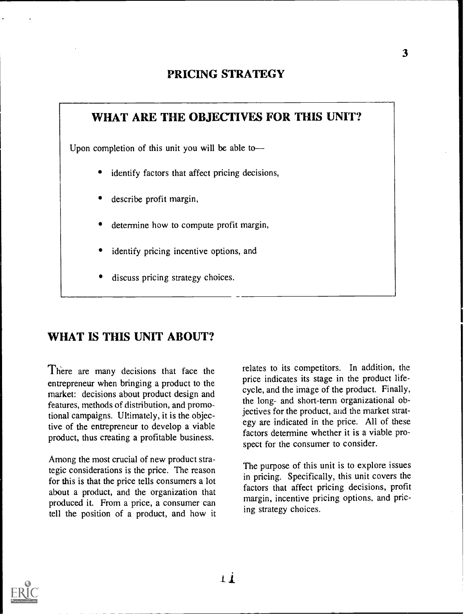#### PRICING STRATEGY



#### WHAT IS THIS UNIT ABOUT?

There are many decisions that face the entrepreneur when bringing a product to the market: decisions about product design and features, methods of distribution, and promotional campaigns. Ultimately, it is the objective of the entrepreneur to develop a viable product, thus creating a profitable business.

Among the most crucial of new product strategic considerations is the price. The reason for this is that the price tells consumers a lot about a product, and the organization that produced it. From a price, a consumer can tell the position of a product, and how it relates to its competitors. In addition, the price indicates its stage in the product lifecycle, and the image of the product. Finally, the long- and short-term organizational objectives for the product, and the market strategy are indicated in the price. All of these factors determine whether it is a viable prospect for the consumer to consider.

The purpose of this unit is to explore issues in pricing. Specifically, this unit covers the factors that affect pricing decisions, profit margin, incentive pricing options, and pricing strategy choices.

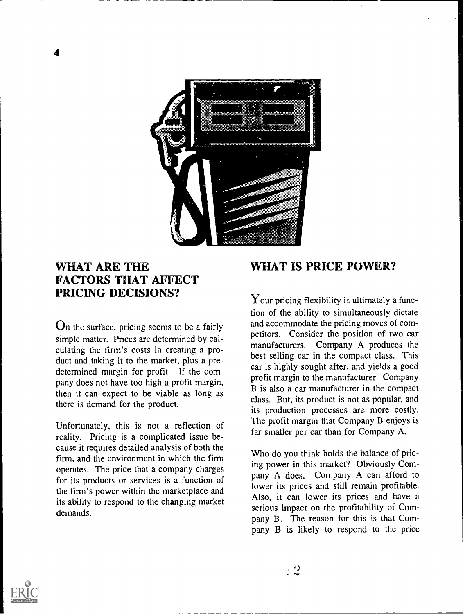

#### WHAT ARE THE FACTORS THAT AFFECT PRICING DECISIONS?

On the surface, pricing seems to be a fairly simple matter. Prices are determined by calculating the firm's costs in creating a product and taking it to the market, plus a predetermined margin for profit. If the company does not have too high a profit margin, then it can expect to be viable as long as there is demand for the product.

Unfortunately, this is not a reflection of reality. Pricing is a complicated issue because it requires detailed analysis of both the firm, and the environment in which the firm operates. The price that a company charges for its products or services is a function of the firm's power within the marketplace and its ability to respond to the changing market demands.

#### WHAT IS PRICE POWER?

Your pricing flexibility is ultimately a function of the ability to simultaneously dictate and accommodate the pricing moves of competitors. Consider the position of two car manufacturers. Company A produces the best selling car in the compact class. This car is highly sought after, and yields a good profit margin to the manufacturer Company B is also a car manufacturer in the compact class. But, its product is not as popular, and its production processes are more costly. The profit margin that Company B enjoys is far smaller per car than for Company A.

Who do you think holds the balance of pricing power in this market? Obviously Company A does. Company A can afford to lower its prices and still remain profitable. Also, it can lower its prices and have a serious impact on the profitability of Company B. The reason for this is that Company B is likely to respond to the price

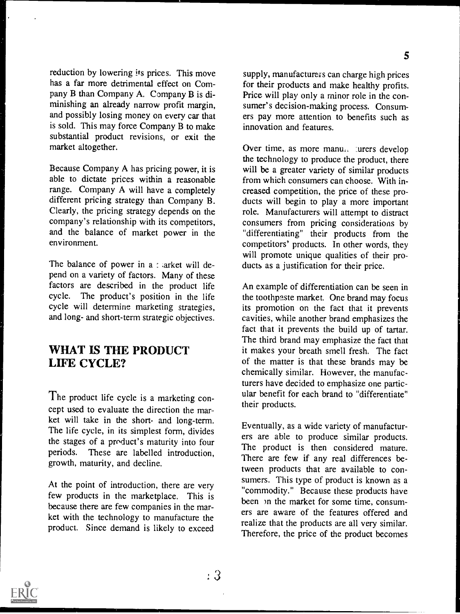reduction by lowering its prices. This move has a far more detrimental effect on Company B than Company A. Company B is diminishing an already narrow profit margin, and possibly losing money on every car that is sold. This may force Company B to make substantial product revisions, or exit the market altogether.

Because Company A has pricing power, it is able to dictate prices within a reasonable range. Company A will have a completely different pricing strategy than Company B. Clearly, the pricing strategy depends on the company's relationship with its competitors, and the balance of market power in the environment.

The balance of power in a : arket will depend on a variety of factors. Many of these factors are described in the product life cycle. The product's position in the life The product's position in the life cycle will determine marketing strategies, and long- and short-term strategic objectives.

#### WHAT IS THE PRODUCT LIFE CYCLE?

The product life cycle is a marketing concept used to evaluate the direction the market will take in the short- and long-term. The life cycle, in its simplest form, divides the stages of a product's maturity into four periods. These are labelled introduction, growth, maturity, and decline.

At the point of introduction, there are very few products in the marketplace. This is because there are few companies in the market with the technology to manufacture the product. Since demand is likely to exceed supply, manufacturers can charge high prices for their products and make healthy profits. Price will play only a minor role in the consumer's decision-making process. Consumers pay more attention to benefits such as innovation and features.

Over time, as more manu. urers develop the technology to produce the product, there will be a greater variety of similar products from which consumers can choose. With increased competition, the price of these products will begin to play a more important role. Manufacturers will attempt to distract consumers from pricing considerations by "differentiating" their products from the competitors' products. In other words, they will promote unique qualities of their products as a justification for their price.

An example of differentiation can be seen in the toothpaste market. One brand may focus its promotion on the fact that it prevents cavities, while another brand emphasizes the fact that it prevents the build up of tartar. The third brand may emphasize the fact that it makes your breath smell fresh. The fact of the matter is that these brands may be chemically similar. However, the manufacturers have decided to emphasize one particular benefit for each brand to "differentiate" their products.

Eventually, as a wide variety of manufacturers are able to produce similar products. The product is then considered mature. There are few if any real differences between products that are available to consumers. This type of product is known as a "commodity." Because these products have been )n the market for some time, consumers are aware of the features offered and realize that the products are all very similar. Therefore, the price of the product becomes

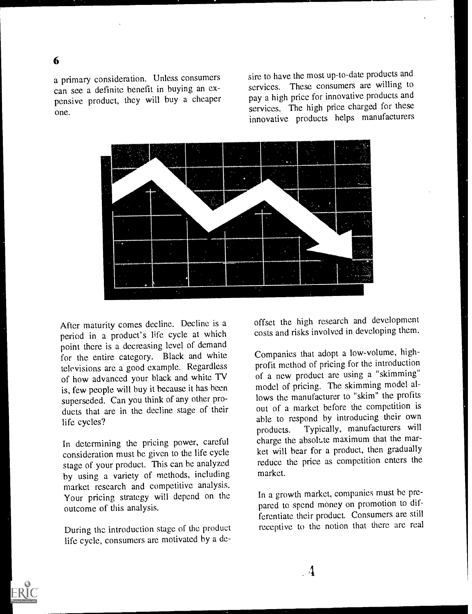#### 6

a primary consideration. Unless consumers can see a definite benefit in buying an expensive product, they will buy a cheaper one.

sire to have the most up-to-date products and services. These consumers are willing to pay a high price for innovative products and services. The high price charged for these innovative products helps manufacturers



After maturity comes decline. Decline is a period in a product's life cycle at which point there is a decreasing level of demand for the entire category. Black and white televisions are a good example. Regardless of how advanced your black and white TV is, few people will buy it because it has been superseded. Can you think of any other products that are in the decline stage of their life cycles?

In determining the pricing power, careful consideration must be given to the life cycle stage of your product. This can he analyzed by using a variety of methods, including market research and competitive analysis. Your pricing strategy will depend on the outcome of this analysis.

During the introduction stage of the product life cycle, consumers are motivated by a deoffset the high research and development costs and risks involved in developing them.

Companies that adopt a low-volume, highprofit method of pricing for the introduction of a new product are using a "skimming" model of pricing. The skimming model allows the manufacturer to "skim" the profits out of a market before the competition is able to respond by introducing their own products. Typically, manufacturers will charge the absolute maximum that the market will hear for a product, then gradually reduce the price as competition enters the market.

In a growth market, companies must be prepared to spend money on promotion to differentiate their product. Consumers are still receptive to the notion that there are real

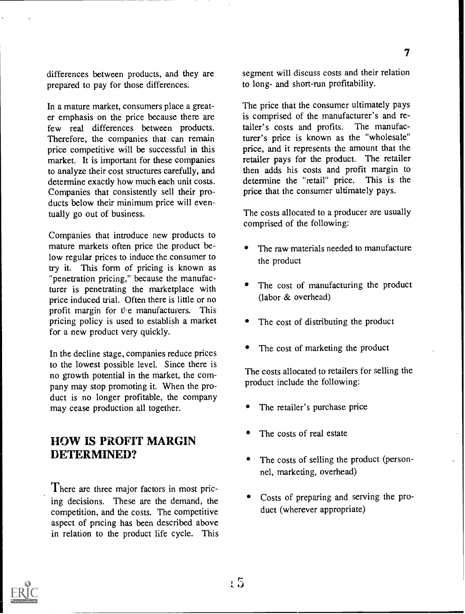differences between products, and they are prepared to pay for those differences.

In a mature market, consumers place a greater emphasis on the price because there are few real differences between products. Therefore, the companies that can remain price competitive will be successful in this market. It is important for these companies to analyze their cost structures carefully, and determine exactly how much each unit costs. Companies that consistently sell their products below their minimum price will eventually go out of business.

Companies that introduce new products to mature markets often price the product below regular prices to induce the consumer to try it. This form of pricing is known as "penetration pricing," because the manufacturer is penetrating the marketplace with price induced trial. Often there is little or no profit margin for the manufacturers. This pricing policy is used to establish a market for a new product very quickly.

In the decline stage, companies reduce prices to the lowest possible level. Since there is no growth potential in the market, the company may stop promoting it. When the product is no longer profitable, the company may cease production all together.

#### HOW IS PROFIT MARGIN DETERMINED?

There are three major factors in most pricing decisions. These are the demand, the competition, and the costs. The competitive aspect of pricing has been described above in relation to the product life cycle. This segment will discuss costs and their relation to long- and short-run profitability.

7

The price that the consumer ultimately pays is comprised of the manufacturer's and retailer's costs and profits. The manufactailer's costs and profits. turer's price is known as the "wholesale" price, and it represents the amount that the retailer pays for the product. The retailer then adds his costs and profit margin to<br>determine the "retail" price. This is the determine the "retail" price. price that the consumer ultimately pays.

The costs allocated to a producer are usually comprised of the following:

- The raw materials needed to manufacture the product
- The cost of manufacturing the product (labor & overhead)
- The cost of distributing the product
- The cost of marketing the product

The costs allocated to retailers for selling the product include the following:

- The retailer's purchase price
- The costs of real estate
- The costs of selling the product (personnel, marketing, overhead)
- Costs of preparing and serving the product (wherever appropriate)

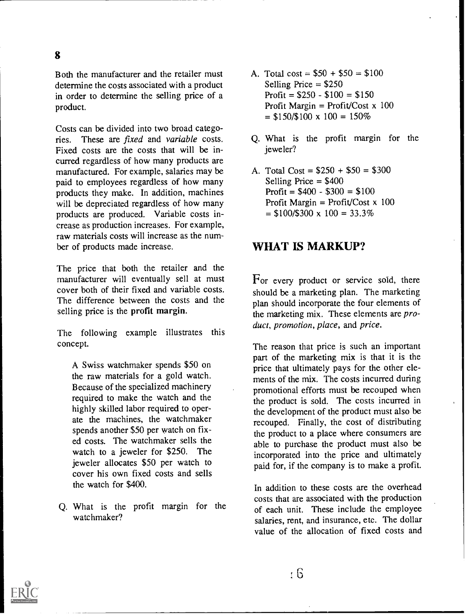Both the manufacturer and the retailer must determine the costs associated with a product in order to determine the selling price of a product.

Costs can be divided into two broad categories. These are fixed and variable costs. Fixed costs are the costs that will be incurred regardless of how many products are manufactured. For example, salaries may be paid to employees regardless of how many products they make. In addition, machines will be depreciated regardless of how many products are produced. Variable costs increase as production increases. For example, raw materials costs will increase as the number of products made increase.

The price that both the retailer and the manufacturer will eventually sell at must cover both of their fixed and variable costs. The difference between the costs and the selling price is the profit margin.

The following example illustrates this concept.

A Swiss watchmaker spends \$50 on the raw materials for a gold watch. Because of the specialized machinery required to make the watch and the highly skilled labor required to operate the machines, the watchmaker spends another \$50 per watch on fixed costs. The watchmaker sells the watch to a jeweler for \$250. The jeweler allocates \$50 per watch to cover his own fixed costs and sells the watch for \$400.

Q. What is the profit margin for the watchmaker?

- A. Total cost =  $$50 + $50 = $100$ Selling Price  $= $250$ Profit =  $$250 - $100 = $150$ Profit Margin = Profit/Cost  $x$  100  $=$  \$150/\$100 x 100 = 150%
- Q. What is the profit margin for the jeweler?
- A. Total  $Cost = $250 + $50 = $300$ Selling Price = \$400 Profit =  $$400 - $300 = $100$ Profit Margin = Profit/Cost x 100  $=$  \$100/\$300 x 100 = 33.3%

#### WHAT IS MARKUP?

For every product or service sold, there should be a marketing plan. The marketing plan should incorporate the four elements of the marketing mix. These elements are *pro*duct, promotion, place, and price.

The reason that price is such an important part of the marketing mix is that it is the price that ultimately pays for the other elements of the mix. The costs incurred during promotional efforts must be recouped when the product is sold. The costs incurred in the development of the product must also be recouped. Finally, the cost of distributing the product to a place where consumers are able to purchase the product must also be incorporated into the price and ultimately paid for, if the company is to make a profit.

In addition to these costs are the overhead costs that are associated with the production of each unit. These include the employee salaries, rent, and insurance, etc. The dollar value of the allocation of fixed costs and

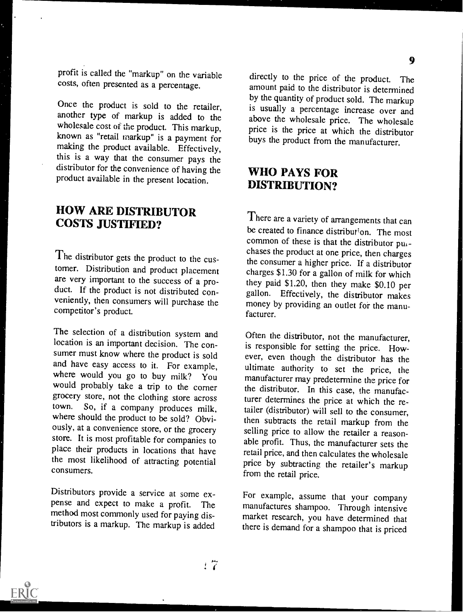profit is called the "markup" on the variable costs, often presented as a percentage.

Once the product is sold to the retailer, another type of markup is added to the wholesale cost of the product. This markup, known as "retail markup" is a payment for<br>making the product available. Effectively, this is a way that the consumer pays the distributor for the convenience of having the product available in the present location.

#### HOW ARE DISTRIBUTOR COSTS JUSTIFIED?

The distributor gets the product to the customer. Distribution and product placement<br>are very important to the success of a proare very important to the success of a pro-<br>duct. If the product is not distributed con-<br>gallon. Effectively, the distributor makes veniently, then consumers will purchase the competitor's product.

The selection of a distribution system and location is an important decision. The consumer must know where the product is sold and have easy access to it. For example, where would you go to buy milk? You would probably take a trip to the corner grocery store, not the clothing store across town. So, if a company produces milk, where should the product to be sold? Obviously, at a convenience store, or the grocery store. It is most profitable for companies to place their products in locations that have the most likelihood of attracting potential consumers.

Distributors provide a service at some expense and expect to make a profit. The method most commonly used for paying distributors is a markup. The markup is added

directly to the price of the product. The amount paid to the distributor is determined by the quantity of product sold. The markup is usually a percentage increase over and above the wholesale price. The wholesale price is the price at which the distributor buys the product from the manufacturer.

#### WHO PAYS FOR DISTRIBUTION?

There are a variety of arrangements that can be created to finance distribution. The most common of these is that the distributor puchases the product at one price, then charges the consumer a higher price. If a distributor charges \$1.30 for a gallon of milk for which gallon. Effectively, the distributor makes money by providing an outlet for the manufacturer.

Often the distributor, not the manufacturer, is responsible for setting the price. However, even though the distributor has the ultimate authority to set the price, the manufacturer may predetermine the price for the distributor. In this case, the manufacturer determines the price at which the retailer (distributor) will sell to the consumer, then subtracts the retail markup from the selling price to allow the retailer a reasonable profit. Thus, the manufacturer sets the retail price, and then calculates the wholesale price by subtracting the retailer's markup from the retail price.

For example, assume that your company manufactures shampoo. Through intensive market research, you have determined that there is demand for a shampoo that is priced

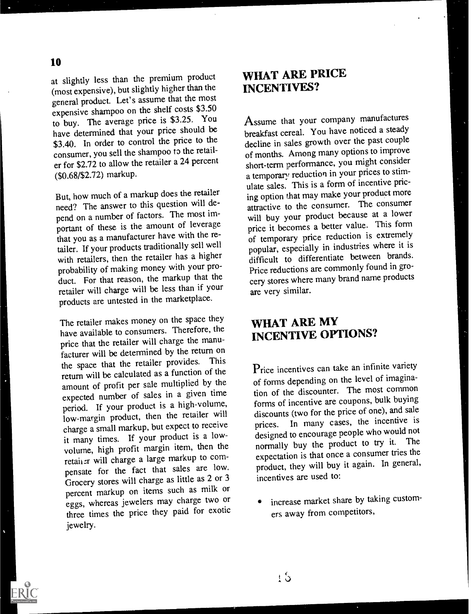at slightly less than the premium product (most expensive), but slightly higher than the general product. Let's assume that the most expensive shampoo on the shelf costs \$3.50 to buy. The average price is \$3.25. You have determined that your price should be \$3.40. In order to control the price to the consumer, you sell the shampoo to the retailer for \$2.72 to allow the retailer a 24 percent (\$0.68/\$2.72) markup.

But, how much of a markup does the retailer need? The answer to this question will depend on a number of factors. The most important of these is the amount of leverage that you as a manufacturer have with the retailer. If your products traditionally sell well with retailers, then the retailer has a higher probability of making money with your product. For that reason, the markup that the retailer will charge will be less than if your products are untested in the marketplace.

The retailer makes money on the space they have available to consumers. Therefore, the price that the retailer will charge the manufacturer will be determined by the return on<br>discussion retailer provides. This the space that the retailer provides. return will be calculated as a function of the amount of profit per sale multiplied by the expected number of sales in a given time period. If your product is a high-volume, low-margin product, then the retailer will charge a small markup, but expect to receive it many times. If your product is a lowvolume, high profit margin item, then the retainer will charge a large markup to compensate for the fact that sales are low. Grocery stores will charge as little as 2 or <sup>3</sup> percent markup on items such as milk or eggs, whereas jewelers may charge two or three times the price they paid for exotic jewelry.

#### WHAT ARE PRICE INCENTIVES?

Assume that your company manufactures breakfast cereal. You have noticed a steady decline in sales growth over the past couple of months. Among many options to improve short-term performance, you might consider a temporary reduction in your prices to stimulate sales. This is a form of incentive pricing option that may make your product more attractive to the consumer. The consumer will buy your product because at a lower price it becomes a better value. This form of temporary price reduction is extremely popular, especially in industries where it is difficult to differentiate between brands. Price reductions are commonly found in grocery stores where many brand name products are very similar.

#### WHAT ARE MY INCENTIVE OPTIONS?

Price incentives can take an infinite variety of forms depending on the level of imagination of the discounter. The most common forms of incentive are coupons, bulk buying discounts (two for the price of one), and sale prices. In many cases, the incentive is designed to encourage people who would not normally buy the product to try it. The expectation is that once a consumer tries the product, they will buy it again. In general, incentives are used to:

increase market share by taking customers away from competitors,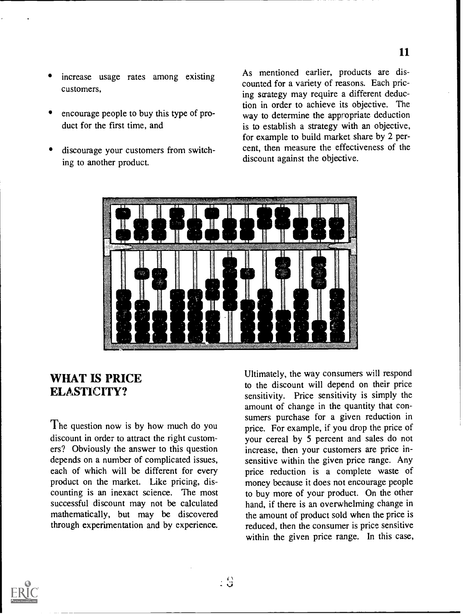- increase usage rates among existing customers,
- encourage people to buy this type of product for the first time, and
- discourage your customers from switching to another product.

As mentioned earlier, products are discounted for a variety of reasons. Each pricing strategy may require a different deduction in order to achieve its objective. The way to determine the appropriate deduction is to establish a strategy with an objective, for example to build market share by 2 percent, then measure the effectiveness of the discount against the objective.



#### WHAT IS PRICE ELASTICITY?

The question now is by how much do you discount in order to attract the right customers? Obviously the answer to this question depends on a number of complicated issues, each of which will be different for every product on the market. Like pricing, discounting is an inexact science. The most successful discount may not be calculated mathematically, but may be discovered through experimentation and by experience. Ultimately, the way consumers will respond to the discount will depend on their price sensitivity. Price sensitivity is simply the amount of change in the quantity that consumers purchase for a given reduction in price. For example, if you drop the price of your cereal by 5 percent and sales do not increase, then your customers are price insensitive within the given price range. Any price reduction is a complete waste of money because it does not encourage people to buy more of your product. On the other hand, if there is an overwhelming change in the amount of product sold when the price is reduced, then the consumer is price sensitive within the given price range. In this case,

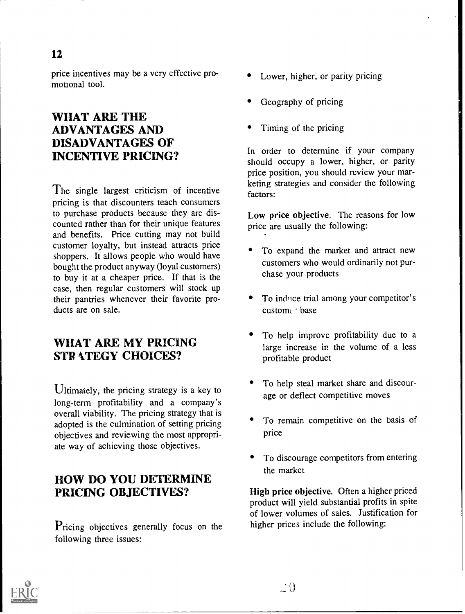price incentives may be a very effective promotional tool.

#### WHAT ARE THE ADVANTAGES AND DISADVANTAGES OF INCENTIVE PRICING?

The single largest criticism of incentive pricing is that discounters teach consumers to purchase products because they are discounted rather than for their unique features and benefits. Price cutting may not build customer loyalty, but instead attracts price shoppers. It allows people who would have bought the product anyway (loyal customers) to buy it at a cheaper price. If that is the case, then regular customers will stock up their pantries whenever their favorite products are on sale.

#### WHAT ARE MY PRICING **STRATEGY CHOICES?**

Ultimately, the pricing strategy is a key to long-term profitability and a company's overall viability. The pricing strategy that is adopted is the culmination of setting pricing objectives and reviewing the most appropriate way of achieving those objectives.

#### HOW DO YOU DETERMINE PRICING OBJECTIVES?

Pricing objectives generally focus on the following three issues:

- Lower, higher, or parity pricing
- Geography of pricing
- Timing of the pricing

In order to determine if your company should occupy a lower, higher, or parity price position, you should review your marketing strategies and consider the following factors:

Low price objective. The reasons for low price are usually the following:

- To expand the market and attract new customers who would ordinarily not purchase your products
- To induce trial among your competitor's custom base
- To help improve profitability due to a large increase in the volume of a less profitable product
- To help steal market share and discourage or deflect competitive moves
- To remain competitive on the basis of price
- To discourage competitors from entering the market

High price objective. Often a higher priced product will yield substantial profits in spite of lower volumes of sales. Justification for higher prices include the following:

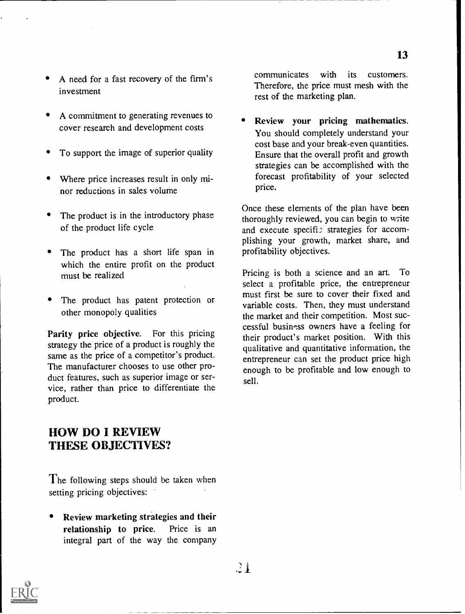- A need for a fast recovery of the firm's investment
- A commitment to generating revenues to cover research and development costs
- To support the image of superior quality
- Where price increases result in only minor reductions in sales volume
- The product is in the introductory phase of the product life cycle
- The product has a short life span in which the entire profit on the product must be realized
- The product has patent protection or other monopoly qualities

Parity price objective. For this pricing strategy the price of a product is roughly the same as the price of a competitor's product. The manufacturer chooses to use other product features, such as superior image or service, rather than price to differentiate the product.

communicates with its customers. Therefore, the price must mesh with the rest of the marketing plan.

Review your pricing mathematics. You should completely understand your cost base and your break-even quantities. Ensure that the overall profit and growth strategies can be accomplished with the forecast profitability of your selected price.

Once these elements of the plan have been thoroughly reviewed, you can begin to write and execute specific strategies for accomplishing your growth, market share, and profitability objectives.

Pricing is both a science and an art. To select a profitable price, the entrepreneur must first be sure to cover their fixed and variable costs. Then, they must understand the market and their competition. Most successful business owners have a feeling for their product's market position. With this qualitative and quantitative information, the entrepreneur can set the product price high enough to be profitable and low enough to sell.

#### HOW DO I REVIEW THESE OBJECTIVES?

The following steps should be taken when setting pricing objectives:

Review marketing strategies and their relationship to price. Price is an integral part of the way the company

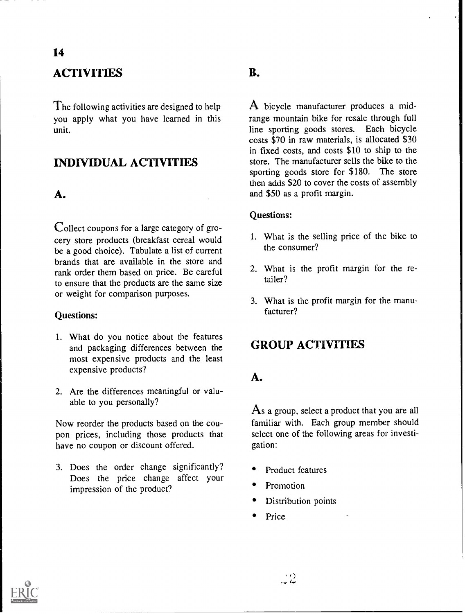#### **ACTIVITIES**

The following activities are designed to help you apply what you have learned in this unit.

#### INDIVIDUAL ACTIVITIES

#### A.

Collect coupons for a large category of grocery store products (breakfast cereal would be a good choice). Tabulate a list of current brands that are available in the store and rank order them based on price. Be careful to ensure that the products are the same size or weight for comparison purposes.

#### Questions:

- 1. What do you notice about the features and packaging differences between the most expensive products and the least expensive products?
- 2. Are the differences meaningful or valuable to you personally?

Now reorder the products based on the coupon prices, including those products that have no coupon or discount offered.

3. Does the order change significantly? Does the price change affect your impression of the product?

#### B.

A bicycle manufacturer produces a midrange mountain bike for resale through full line sporting goods stores. Each bicycle costs \$70 in raw materials, is allocated \$30 in fixed costs, and costs \$10 to ship to the store. The manufacturer sells the bike to the sporting goods store for \$180. The store then adds \$20 to cover the costs of assembly and \$50 as a profit margin.

#### Questions:

- 1. What is the selling price of the bike to the consumer?
- 2. What is the profit margin for the retailer?
- 3. What is the profit margin for the manufacturer?

#### GROUP ACTIVITIES

#### A.

As a group, select a product that you are all familiar with. Each group member should select one of the following areas for investigation:

- Product features
- Promotion
- Distribution points
- Price

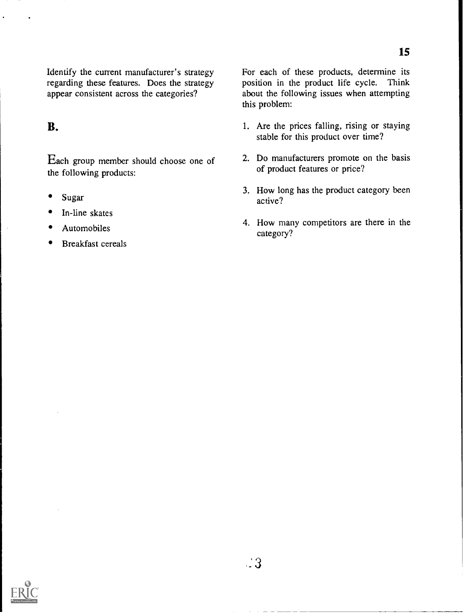Each group member should choose one of the following products:

- Sugar
- In-line skates
- Automobiles
- Breakfast cereals

For each of these products, determine its position in the product life cycle. Think position in the product life cycle. about the following issues when attempting this problem:

- **B.** 1. Are the prices falling, rising or staying stable for this product over time?
	- 2. Do manufacturers promote on the basis of product features or price?
	- 3. How long has the product category been active?
	- 4. How many competitors are there in the category?

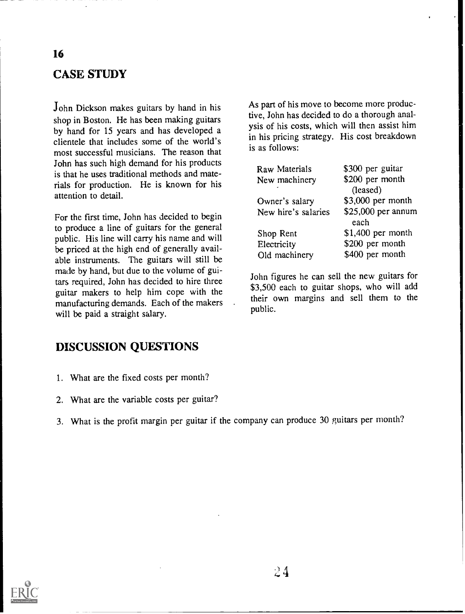#### CASE STUDY

John Dickson makes guitars by hand in his shop in Boston. He has been making guitars by hand for 15 years and has developed a clientele that includes some of the world's most successful musicians. The reason that John has such high demand for his products is that he uses traditional methods and materials for production. He is known for his attention to detail.

For the first time, John has decided to begin to produce a line of guitars for the general public. His line will carry his name and will be priced at the high end of generally available instruments. The guitars will still be made by hand, but due to the volume of guitars required, John has decided to hire three guitar makers to help him cope with the manufacturing demands. Each of the makers will be paid a straight salary.

As part of his move to become more productive, John has decided to do a thorough analysis of his costs, which will then assist him in his pricing strategy. His cost breakdown is as follows:

| Raw Materials       | \$300 per guitar   |
|---------------------|--------------------|
| New machinery       | \$200 per month    |
|                     | (leased)           |
| Owner's salary      | \$3,000 per month  |
| New hire's salaries | \$25,000 per annum |
|                     | each               |
| Shop Rent           | \$1,400 per month  |
| Electricity         | \$200 per month    |
| Old machinery       | \$400 per month    |
|                     |                    |

John figures he can sell the new guitars for \$3,500 each to guitar shops, who will add their own margins and sell them to the public.

#### DISCUSSION QUESTIONS

- 1. What are the fixed costs per month?
- 2. What are the variable costs per guitar?
- 3. What is the profit margin per guitar if the company can produce 30 guitars per month?

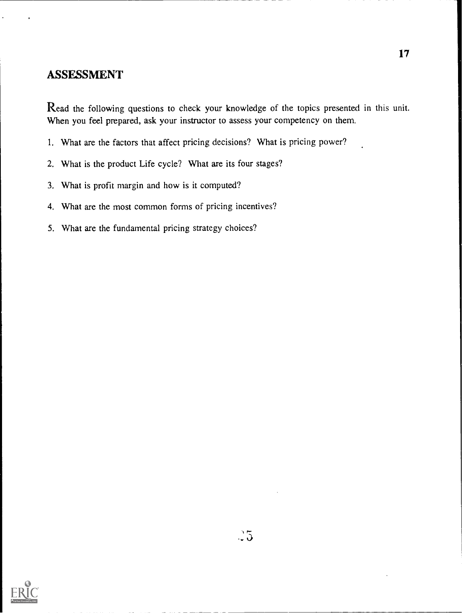#### ASSESSMENT

Read the following questions to check your knowledge of the topics presented in this unit. When you feel prepared, ask your instructor to assess your competency on them.

- 1. What are the factors that affect pricing decisions? What is pricing power?
- 2. What is the product Life cycle? What are its four stages'?
- 3. What is profit margin and how is it computed?
- 4. What are the most common forms of pricing incentives?
- 5. What are the fundamental pricing strategy choices?

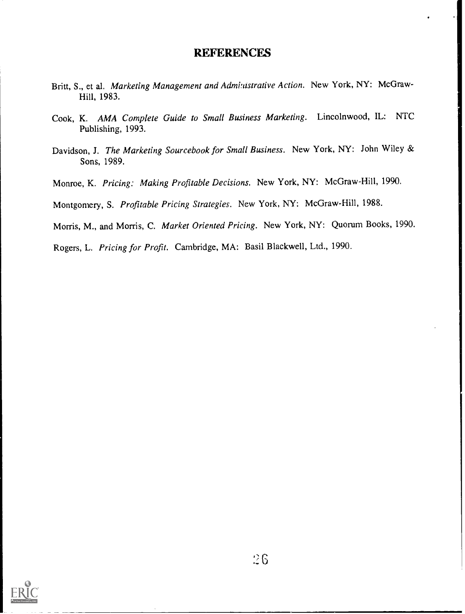#### **REFERENCES**

- Britt, S., et al. Marketing Management and Admi:ustrative Action. New York, NY: McGraw-Hill, 1983.
- Cook, K. AMA Complete Guide to Small Business Marketing. Lincolnwood, IL: NTC Publishing, 1993.
- Davidson, J. The Marketing Sourcebook for Small Business. New York, NY: John Wiley & Sons, 1989.
- Monroe, K. Pricing; Making Profitable Decisions. New York, NY: McGraw-Hill, 1990.

Montgomery, S. Profitable Pricing Strategies. New York, NY: McGraw-Hill, 1988.

Morris, M., and Morris, C. Market Oriented Pricing. New York, NY: Quorum Books, 1990.

Rogers, L. Pricing for Profit. Cambridge, MA: Basil Blackwell, Ltd., 1990.